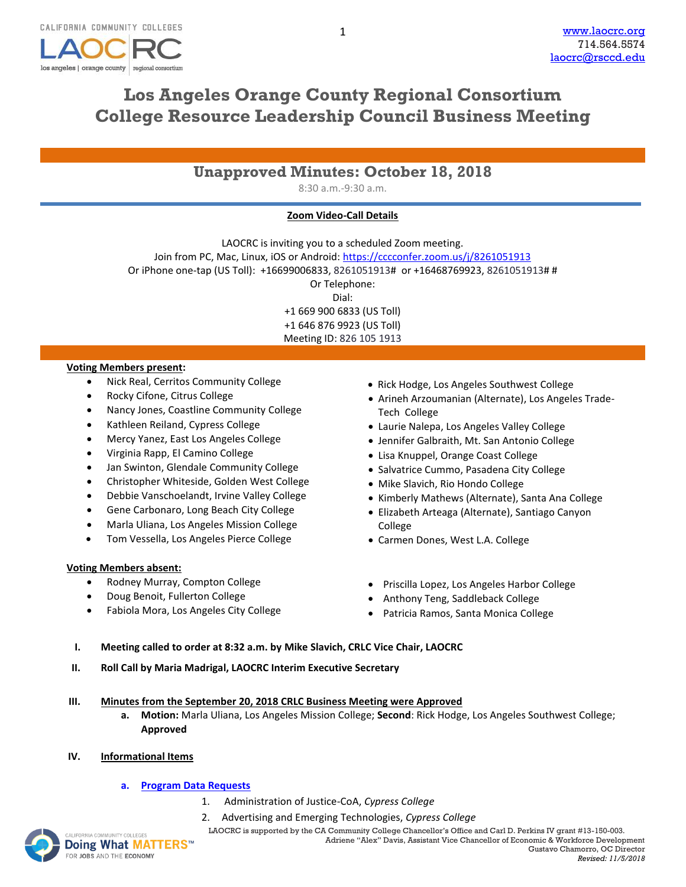

# **Los Angeles Orange County Regional Consortium College Resource Leadership Council Business Meeting**

| <b>Unapproved Minutes: October 18, 2018</b> |  |  |  |  |
|---------------------------------------------|--|--|--|--|
|---------------------------------------------|--|--|--|--|

8:30 a.m.-9:30 a.m.

## **Zoom Video-Call Details**

LAOCRC is inviting you to a scheduled Zoom meeting. Join from PC, Mac, Linux, iOS or Android:<https://cccconfer.zoom.us/j/8261051913> Or iPhone one-tap (US Toll): +16699006833, 8261051913# or +16468769923, 8261051913# # Or Telephone: Dial: +1 669 900 6833 (US Toll) +1 646 876 9923 (US Toll) Meeting ID: 826 105 1913

### **Voting Members present:**

- Nick Real, Cerritos Community College
- Rocky Cifone, Citrus College
- Nancy Jones, Coastline Community College
- Kathleen Reiland, Cypress College
- Mercy Yanez, East Los Angeles College
- Virginia Rapp, El Camino College
- Jan Swinton, Glendale Community College
- Christopher Whiteside, Golden West College
- Debbie Vanschoelandt, Irvine Valley College
- Gene Carbonaro, Long Beach City College
- Marla Uliana, Los Angeles Mission College
- Tom Vessella, Los Angeles Pierce College

### **Voting Members absent:**

- Rodney Murray, Compton College
- Doug Benoit, Fullerton College
- Fabiola Mora, Los Angeles City College
- Rick Hodge, Los Angeles Southwest College
- Arineh Arzoumanian (Alternate), Los Angeles Trade-Tech College
- Laurie Nalepa, Los Angeles Valley College
- Jennifer Galbraith, Mt. San Antonio College
- Lisa Knuppel, Orange Coast College
- Salvatrice Cummo, Pasadena City College
- Mike Slavich, Rio Hondo College
- Kimberly Mathews (Alternate), Santa Ana College
- Elizabeth Arteaga (Alternate), Santiago Canyon College
- Carmen Dones, West L.A. College
- Priscilla Lopez, Los Angeles Harbor College
- Anthony Teng, Saddleback College
- Patricia Ramos, Santa Monica College
- **I. Meeting called to order at 8:32 a.m. by Mike Slavich, CRLC Vice Chair, LAOCRC**
- **II. Roll Call by Maria Madrigal, LAOCRC Interim Executive Secretary**
- **III. Minutes from the September 20, 2018 CRLC Business Meeting were Approved**
	- **a. Motion:** Marla Uliana, Los Angeles Mission College; **Second**: Rick Hodge, Los Angeles Southwest College; **Approved**
- **IV. Informational Items**
	- **a. [Program Data Requests](http://www.laocrc.org/educators/program-approval/program-intents)**
		- 1. Administration of Justice-CoA, *Cypress College*
		- 2. Advertising and Emerging Technologies, *Cypress College*

UNITYCOLLEGES **LAOCRC** is supported by the CA Community College Chancellor's Office and Carl D. Perkins IV grant #13-150-003. Adriene "Alex" Davis, Assistant Vice Chancellor of Economic & Workforce Development

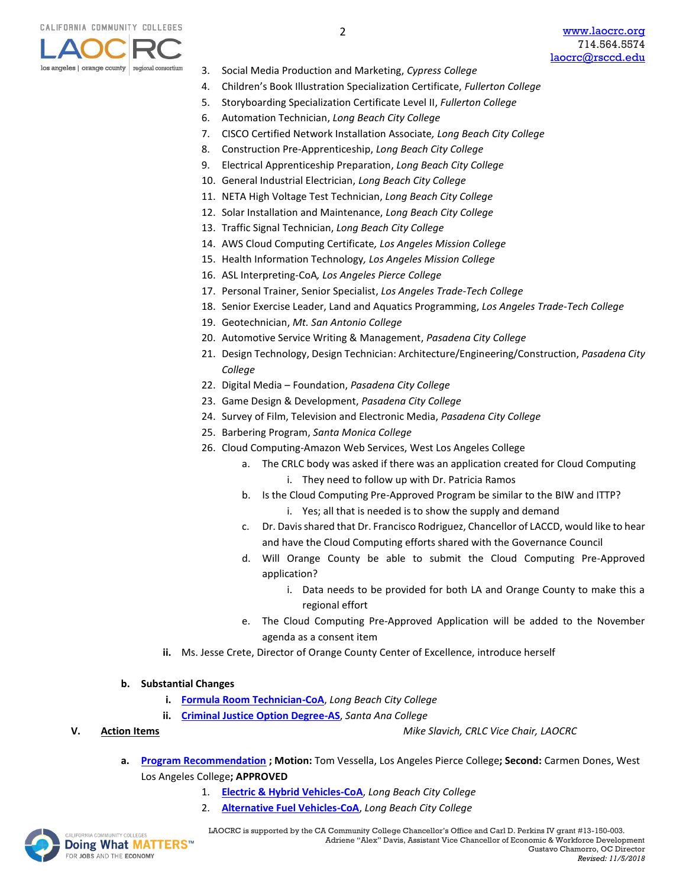

- 3. Social Media Production and Marketing, *Cypress College*
- 4. Children's Book Illustration Specialization Certificate, *Fullerton College*
- 5. Storyboarding Specialization Certificate Level II, *Fullerton College*
- 6. Automation Technician, *Long Beach City College*
- 7. CISCO Certified Network Installation Associate*, Long Beach City College*
- 8. Construction Pre-Apprenticeship, *Long Beach City College*
- 9. Electrical Apprenticeship Preparation, *Long Beach City College*
- 10. General Industrial Electrician, *Long Beach City College*
- 11. NETA High Voltage Test Technician, *Long Beach City College*
- 12. Solar Installation and Maintenance, *Long Beach City College*
- 13. Traffic Signal Technician, *Long Beach City College*
- 14. AWS Cloud Computing Certificate*, Los Angeles Mission College*
- 15. Health Information Technology*, Los Angeles Mission College*
- 16. ASL Interpreting-CoA*, Los Angeles Pierce College*
- 17. Personal Trainer, Senior Specialist, *Los Angeles Trade-Tech College*
- 18. Senior Exercise Leader, Land and Aquatics Programming, *Los Angeles Trade-Tech College*
- 19. Geotechnician, *Mt. San Antonio College*
- 20. Automotive Service Writing & Management, *Pasadena City College*
- 21. Design Technology, Design Technician: Architecture/Engineering/Construction, *Pasadena City College*
- 22. Digital Media Foundation, *Pasadena City College*
- 23. Game Design & Development, *Pasadena City College*
- 24. Survey of Film, Television and Electronic Media, *Pasadena City College*
- 25. Barbering Program, *Santa Monica College*
- 26. Cloud Computing-Amazon Web Services, West Los Angeles College
	- a. The CRLC body was asked if there was an application created for Cloud Computing i. They need to follow up with Dr. Patricia Ramos
	- b. Is the Cloud Computing Pre-Approved Program be similar to the BIW and ITTP?
		- i. Yes; all that is needed is to show the supply and demand
	- c. Dr. Davis shared that Dr. Francisco Rodriguez, Chancellor of LACCD, would like to hear and have the Cloud Computing efforts shared with the Governance Council
	- d. Will Orange County be able to submit the Cloud Computing Pre-Approved application?
		- i. Data needs to be provided for both LA and Orange County to make this a regional effort
	- e. The Cloud Computing Pre-Approved Application will be added to the November agenda as a consent item
- **ii.** Ms. Jesse Crete, Director of Orange County Center of Excellence, introduce herself
- **b. Substantial Changes** 
	- **i. [Formula Room Technician-CoA](https://www.regionalcte.org/browse/ZyBq4)**, *Long Beach City College*
	- **ii. [Criminal Justice Option Degree-AS](https://www.regionalcte.org/browse/ZbjQZ)**, *Santa Ana College*

- **V. Action Items** *Mike Slavich, CRLC Vice Chair, LAOCRC*
	- **a. [Program Recommendation](https://www.regionalcte.org/browse?region=4&status=4&search=&submit=) ; Motion:** Tom Vessella, Los Angeles Pierce College**; Second:** Carmen Dones, West Los Angeles College**; APPROVED**
		- 1. **[Electric & Hybrid Vehicles-CoA](https://www.regionalcte.org/browse/Z6803)**, *Long Beach City College*
		- 2. **[Alternative Fuel Vehicles-CoA](https://www.regionalcte.org/browse/3G1DZ)**, *Long Beach City College*

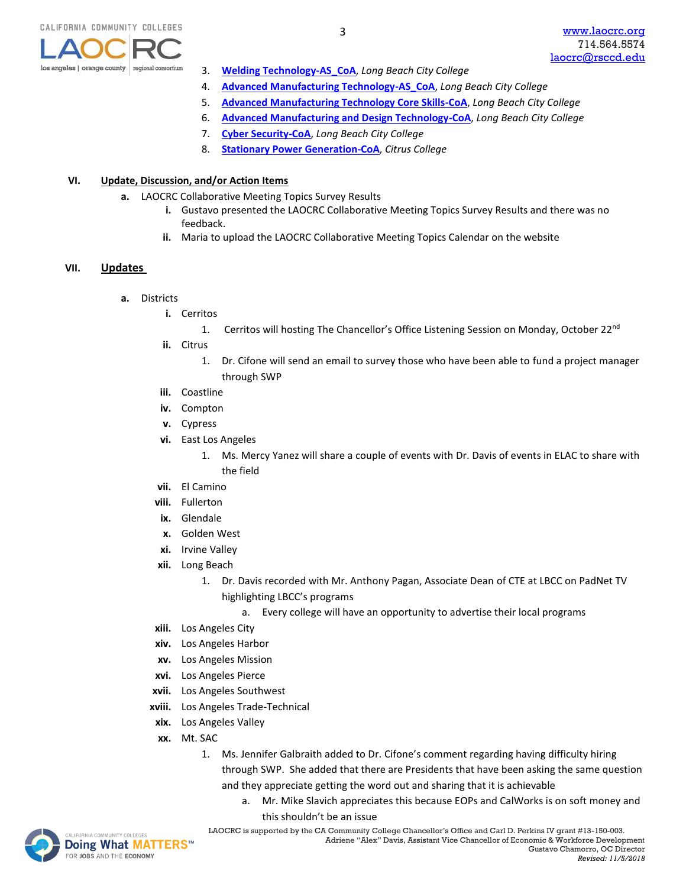

- 3. **[Welding Technology-AS\\_CoA](https://www.regionalcte.org/browse/ZRgp4)**, *Long Beach City College*
- 4. **[Advanced Manufacturing Technology-AS\\_CoA](https://www.regionalcte.org/browse/KAY5K)**, *Long Beach City College*
- 5. **[Advanced Manufacturing Technology Core Skills-CoA](https://www.regionalcte.org/browse/KkW0K)**, *Long Beach City College*
- 6. **[Advanced Manufacturing and Design Technology-CoA](https://www.regionalcte.org/browse/3qxq4)**, *Long Beach City College*
- 7. **[Cyber Security-CoA](https://www.regionalcte.org/browse/38edK)**, *Long Beach City College*
- 8. **[Stationary Power Generation-CoA](https://www.regionalcte.org/browse/KlbQ4)**, *Citrus College*

### **VI. Update, Discussion, and/or Action Items**

- **a.** LAOCRC Collaborative Meeting Topics Survey Results
	- **i.** Gustavo presented the LAOCRC Collaborative Meeting Topics Survey Results and there was no feedback.
	- **ii.** Maria to upload the LAOCRC Collaborative Meeting Topics Calendar on the website

### **VII. Updates**

- **a.** Districts
	- **i.** Cerritos
		- 1. Cerritos will hosting The Chancellor's Office Listening Session on Monday, October 22<sup>nd</sup>
	- **ii.** Citrus
		- 1. Dr. Cifone will send an email to survey those who have been able to fund a project manager through SWP
	- **iii.** Coastline
	- **iv.** Compton
	- **v.** Cypress
	- **vi.** East Los Angeles
		- 1. Ms. Mercy Yanez will share a couple of events with Dr. Davis of events in ELAC to share with the field
	- **vii.** El Camino
	- **viii.** Fullerton
	- **ix.** Glendale
	- **x.** Golden West
	- **xi.** Irvine Valley
	- **xii.** Long Beach
		- 1. Dr. Davis recorded with Mr. Anthony Pagan, Associate Dean of CTE at LBCC on PadNet TV highlighting LBCC's programs
			- a. Every college will have an opportunity to advertise their local programs
	- **xiii.** Los Angeles City
	- **xiv.** Los Angeles Harbor
	- **xv.** Los Angeles Mission
	- **xvi.** Los Angeles Pierce
	- **xvii.** Los Angeles Southwest
	- **xviii.** Los Angeles Trade-Technical
	- **xix.** Los Angeles Valley
	- **xx.** Mt. SAC
		- 1. Ms. Jennifer Galbraith added to Dr. Cifone's comment regarding having difficulty hiring through SWP. She added that there are Presidents that have been asking the same question and they appreciate getting the word out and sharing that it is achievable
			- a. Mr. Mike Slavich appreciates this because EOPs and CalWorks is on soft money and
				- this shouldn't be an issue



MACOMMUNITY COLLEGES **LAOCRC** is supported by the CA Community College Chancellor's Office and Carl D. Perkins IV grant #13-150-003. Adriene "Alex" Davis, Assistant Vice Chancellor of Economic & Workforce Development